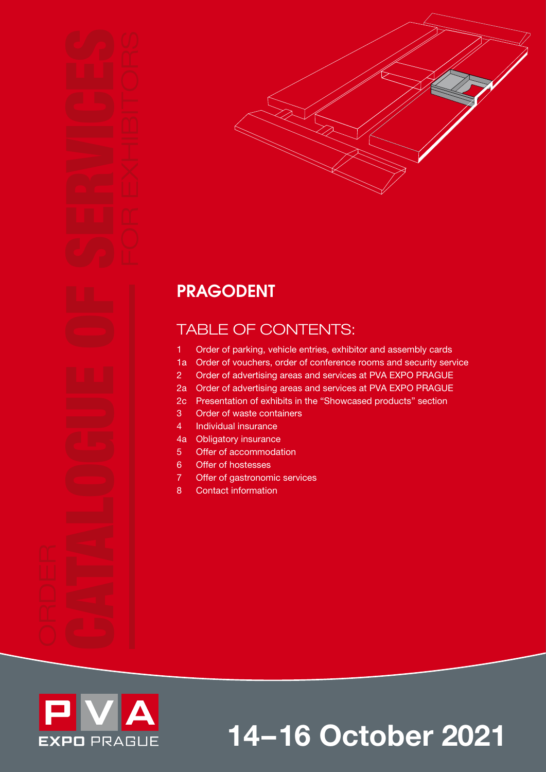

# PRAGODENT

# TABLE OF CONTENTS:

- 1 Order of parking, vehicle entries, exhibitor and assembly cards
- 1a Order of vouchers, order of conference rooms and security service
- 2 Order of advertising areas and services at PVA EXPO PRAGUE
- 2a Order of advertising areas and services at PVA EXPO PRAGUE
- 2c Presentation of exhibits in the "Showcased products" section
- 3 Order of waste containers
- 4 Individual insurance
- 4a Obligatory insurance
- 5 Offer of accommodation
- 6 Offer of hostesses
- 7 Offer of gastronomic services
- 8 Contact information



14–16 October 2021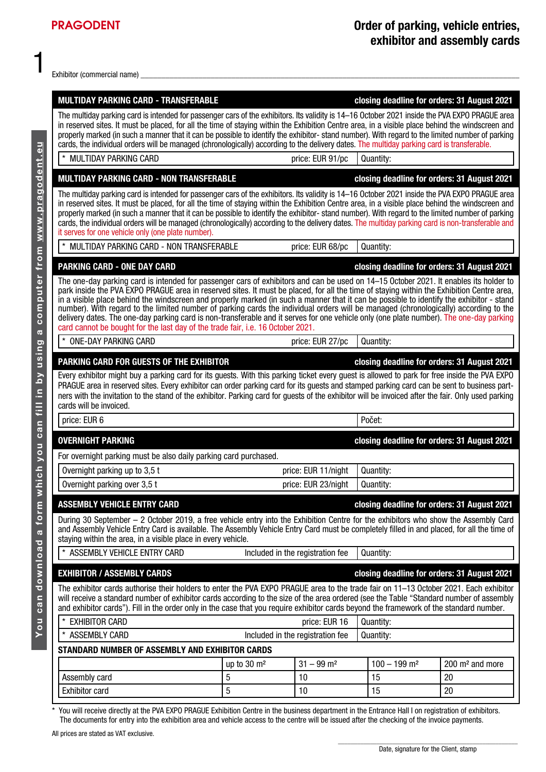Exhibitor (commercial name)

| <b>MULTIDAY PARKING CARD - TRANSFERABLE</b><br>closing deadline for orders: 31 August 2021                                                                                                                                                                                                                                                                                                                                                                                                                                                                                                                                                                                                                                                                                                           |                            |                                  |                                             |                             |  |  |  |  |
|------------------------------------------------------------------------------------------------------------------------------------------------------------------------------------------------------------------------------------------------------------------------------------------------------------------------------------------------------------------------------------------------------------------------------------------------------------------------------------------------------------------------------------------------------------------------------------------------------------------------------------------------------------------------------------------------------------------------------------------------------------------------------------------------------|----------------------------|----------------------------------|---------------------------------------------|-----------------------------|--|--|--|--|
| The multiday parking card is intended for passenger cars of the exhibitors. Its validity is 14–16 October 2021 inside the PVA EXPO PRAGUE area<br>in reserved sites. It must be placed, for all the time of staying within the Exhibition Centre area, in a visible place behind the windscreen and<br>properly marked (in such a manner that it can be possible to identify the exhibitor-stand number). With regard to the limited number of parking<br>cards, the individual orders will be managed (chronologically) according to the delivery dates. The multiday parking card is transferable.                                                                                                                                                                                                 |                            |                                  |                                             |                             |  |  |  |  |
| $\star$<br><b>MULTIDAY PARKING CARD</b>                                                                                                                                                                                                                                                                                                                                                                                                                                                                                                                                                                                                                                                                                                                                                              |                            | price: EUR 91/pc                 | Quantity:                                   |                             |  |  |  |  |
| <b>MULTIDAY PARKING CARD - NON TRANSFERABLE</b><br>closing deadline for orders: 31 August 2021                                                                                                                                                                                                                                                                                                                                                                                                                                                                                                                                                                                                                                                                                                       |                            |                                  |                                             |                             |  |  |  |  |
| The multiday parking card is intended for passenger cars of the exhibitors. Its validity is 14–16 October 2021 inside the PVA EXPO PRAGUE area<br>in reserved sites. It must be placed, for all the time of staying within the Exhibition Centre area, in a visible place behind the windscreen and<br>properly marked (in such a manner that it can be possible to identify the exhibitor-stand number). With regard to the limited number of parking<br>cards, the individual orders will be managed (chronologically) according to the delivery dates. The multiday parking card is non-transferable and<br>it serves for one vehicle only (one plate number).                                                                                                                                    |                            |                                  |                                             |                             |  |  |  |  |
| $\star$<br>MULTIDAY PARKING CARD - NON TRANSFERABLE                                                                                                                                                                                                                                                                                                                                                                                                                                                                                                                                                                                                                                                                                                                                                  |                            | price: EUR 68/pc                 | Quantity:                                   |                             |  |  |  |  |
| <b>PARKING CARD - ONE DAY CARD</b>                                                                                                                                                                                                                                                                                                                                                                                                                                                                                                                                                                                                                                                                                                                                                                   |                            |                                  | closing deadline for orders: 31 August 2021 |                             |  |  |  |  |
| The one-day parking card is intended for passenger cars of exhibitors and can be used on 14-15 October 2021. It enables its holder to<br>park inside the PVA EXPO PRAGUE area in reserved sites. It must be placed, for all the time of staying within the Exhibition Centre area,<br>in a visible place behind the windscreen and properly marked (in such a manner that it can be possible to identify the exhibitor - stand<br>number). With regard to the limited number of parking cards the individual orders will be managed (chronologically) according to the<br>delivery dates. The one-day parking card is non-transferable and it serves for one vehicle only (one plate number). The one-day parking<br>card cannot be bought for the last day of the trade fair, i.e. 16 October 2021. |                            |                                  |                                             |                             |  |  |  |  |
| $\star$<br><b>ONE-DAY PARKING CARD</b>                                                                                                                                                                                                                                                                                                                                                                                                                                                                                                                                                                                                                                                                                                                                                               |                            | price: EUR 27/pc                 | Quantity:                                   |                             |  |  |  |  |
| PARKING CARD FOR GUESTS OF THE EXHIBITOR<br>Every exhibitor might buy a parking card for its guests. With this parking ticket every guest is allowed to park for free inside the PVA EXPO<br>PRAGUE area in reserved sites. Every exhibitor can order parking card for its guests and stamped parking card can be sent to business part-<br>ners with the invitation to the stand of the exhibitor. Parking card for guests of the exhibitor will be invoiced after the fair. Only used parking<br>cards will be invoiced.                                                                                                                                                                                                                                                                           |                            |                                  | closing deadline for orders: 31 August 2021 |                             |  |  |  |  |
| price: EUR 6                                                                                                                                                                                                                                                                                                                                                                                                                                                                                                                                                                                                                                                                                                                                                                                         |                            |                                  | Počet:                                      |                             |  |  |  |  |
| <b>OVERNIGHT PARKING</b>                                                                                                                                                                                                                                                                                                                                                                                                                                                                                                                                                                                                                                                                                                                                                                             |                            |                                  | closing deadline for orders: 31 August 2021 |                             |  |  |  |  |
| For overnight parking must be also daily parking card purchased.                                                                                                                                                                                                                                                                                                                                                                                                                                                                                                                                                                                                                                                                                                                                     |                            |                                  |                                             |                             |  |  |  |  |
| Overnight parking up to 3,5 t                                                                                                                                                                                                                                                                                                                                                                                                                                                                                                                                                                                                                                                                                                                                                                        |                            | price: EUR 11/night              | Quantity:                                   |                             |  |  |  |  |
| Overnight parking over 3,5 t                                                                                                                                                                                                                                                                                                                                                                                                                                                                                                                                                                                                                                                                                                                                                                         |                            | price: EUR 23/night              | Quantity:                                   |                             |  |  |  |  |
| <b>ASSEMBLY VEHICLE ENTRY CARD</b>                                                                                                                                                                                                                                                                                                                                                                                                                                                                                                                                                                                                                                                                                                                                                                   |                            |                                  | closing deadline for orders: 31 August 2021 |                             |  |  |  |  |
| During 30 September – 2 October 2019, a free vehicle entry into the Exhibition Centre for the exhibitors who show the Assembly Card<br>and Assembly Vehicle Entry Card is available. The Assembly Vehicle Entry Card must be completely filled in and placed, for all the time of<br>staying within the area, in a visible place in every vehicle.                                                                                                                                                                                                                                                                                                                                                                                                                                                   |                            |                                  |                                             |                             |  |  |  |  |
| ASSEMBLY VEHICLE ENTRY CARD                                                                                                                                                                                                                                                                                                                                                                                                                                                                                                                                                                                                                                                                                                                                                                          |                            | Included in the registration fee | Quantity:                                   |                             |  |  |  |  |
| <b>EXHIBITOR / ASSEMBLY CARDS</b>                                                                                                                                                                                                                                                                                                                                                                                                                                                                                                                                                                                                                                                                                                                                                                    |                            |                                  | closing deadline for orders: 31 August 2021 |                             |  |  |  |  |
| The exhibitor cards authorise their holders to enter the PVA EXPO PRAGUE area to the trade fair on 11–13 October 2021. Each exhibitor<br>will receive a standard number of exhibitor cards according to the size of the area ordered (see the Table "Standard number of assembly<br>and exhibitor cards"). Fill in the order only in the case that you require exhibitor cards beyond the framework of the standard number.                                                                                                                                                                                                                                                                                                                                                                          |                            |                                  |                                             |                             |  |  |  |  |
| $\ast$<br><b>EXHIBITOR CARD</b>                                                                                                                                                                                                                                                                                                                                                                                                                                                                                                                                                                                                                                                                                                                                                                      | price: EUR 16<br>Quantity: |                                  |                                             |                             |  |  |  |  |
| <b>ASSEMBLY CARD</b>                                                                                                                                                                                                                                                                                                                                                                                                                                                                                                                                                                                                                                                                                                                                                                                 |                            | Included in the registration fee | Quantity:                                   |                             |  |  |  |  |
| STANDARD NUMBER OF ASSEMBLY AND EXHIBITOR CARDS                                                                                                                                                                                                                                                                                                                                                                                                                                                                                                                                                                                                                                                                                                                                                      |                            |                                  |                                             |                             |  |  |  |  |
|                                                                                                                                                                                                                                                                                                                                                                                                                                                                                                                                                                                                                                                                                                                                                                                                      | up to $30 \text{ m}^2$     | $31 - 99$ m <sup>2</sup>         | $100 - 199$ m <sup>2</sup>                  | 200 m <sup>2</sup> and more |  |  |  |  |
| Assembly card                                                                                                                                                                                                                                                                                                                                                                                                                                                                                                                                                                                                                                                                                                                                                                                        | 5<br>5                     | 10                               | 15                                          | 20<br>20                    |  |  |  |  |
| <b>Exhibitor card</b>                                                                                                                                                                                                                                                                                                                                                                                                                                                                                                                                                                                                                                                                                                                                                                                |                            | 10                               | 15                                          |                             |  |  |  |  |

\* You will receive directly at the PVA EXPO PRAGUE Exhibition Centre in the business department in the Entrance Hall I on registration of exhibitors. The documents for entry into the exhibition area and vehicle access to the centre will be issued after the checking of the invoice payments.

All prices are stated as VAT exclusive.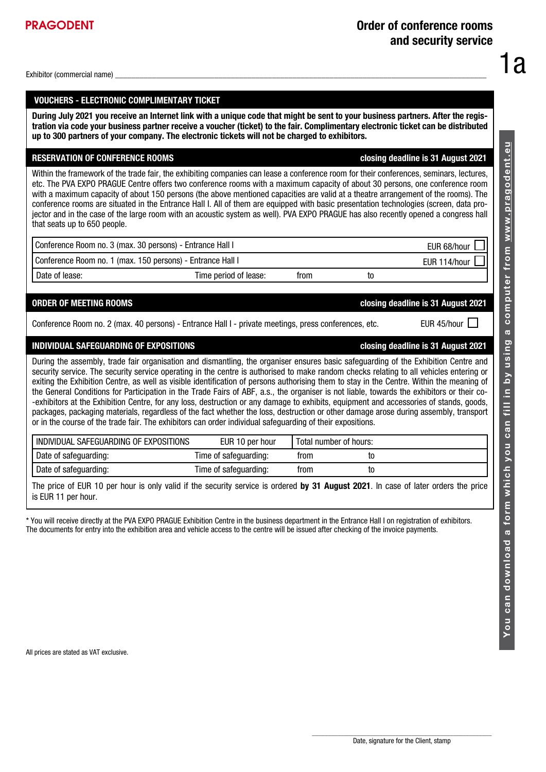PRAGODENT

# VOUCHERS - ELECTRONIC COMPLIMENTARY TICKET

During July 2021 you receive an Internet link with a unique code that might be sent to your business partners. After the registration via code your business partner receive a voucher (ticket) to the fair. Complimentary electronic ticket can be distributed up to 300 partners of your company. The electronic tickets will not be charged to exhibitors.

# RESERVATION OF CONFERENCE ROOMS closing deadline is 31 August 2021

Within the framework of the trade fair, the exhibiting companies can lease a conference room for their conferences, seminars, lectures, etc. The PVA EXPO PRAGUE Centre offers two conference rooms with a maximum capacity of about 30 persons, one conference room with a maximum capacity of about 150 persons (the above mentioned capacities are valid at a theatre arrangement of the rooms). The conference rooms are situated in the Entrance Hall I. All of them are equipped with basic presentation technologies (screen, data projector and in the case of the large room with an acoustic system as well). PVA EXPO PRAGUE has also recently opened a congress hall that seats up to 650 people.

| Conference Room no. 3 (max. 30 persons) - Entrance Hall I  |                       | ור<br>EUR 68/hour |    |                   |
|------------------------------------------------------------|-----------------------|-------------------|----|-------------------|
| Conference Room no. 1 (max. 150 persons) - Entrance Hall I |                       |                   |    | H<br>EUR 114/hour |
| Date of lease:                                             | Time period of lease: | trom              | t0 |                   |

# ORDER OF MEETING ROOMS closing deadline is 31 August 2021

Conference Room no. 2 (max. 40 persons) - Entrance Hall I - private meetings, press conferences, etc. EUR 45/hour

# INDIVIDUAL SAFEGUARDING OF EXPOSITIONS closing deadline is 31 August 2021

During the assembly, trade fair organisation and dismantling, the organiser ensures basic safeguarding of the Exhibition Centre and security service. The security service operating in the centre is authorised to make random checks relating to all vehicles entering or exiting the Exhibition Centre, as well as visible identification of persons authorising them to stay in the Centre. Within the meaning of the General Conditions for Participation in the Trade Fairs of ABF, a.s., the organiser is not liable, towards the exhibitors or their co- -exhibitors at the Exhibition Centre, for any loss, destruction or any damage to exhibits, equipment and accessories of stands, goods, packages, packaging materials, regardless of the fact whether the loss, destruction or other damage arose during assembly, transport or in the course of the trade fair. The exhibitors can order individual safeguarding of their expositions.

| I INDIVIDUAL SAFEGUARDING OF EXPOSITIONS | EUR 10 per hour       |      | Total number of hours: |  |
|------------------------------------------|-----------------------|------|------------------------|--|
| Date of safeguarding:                    | Time of safeguarding: | trom | τo                     |  |
| Date of safeguarding:                    | Time of safeguarding: | trom | τo                     |  |

The price of EUR 10 per hour is only valid if the security service is ordered by 31 August 2021. In case of later orders the price is EUR 11 per hour.

\* You will receive directly at the PVA EXPO PRAGUE Exhibition Centre in the business department in the Entrance Hall I on registration of exhibitors. The documents for entry into the exhibition area and vehicle access to the centre will be issued after checking of the invoice payments.

All prices are stated as VAT exclusive.

1a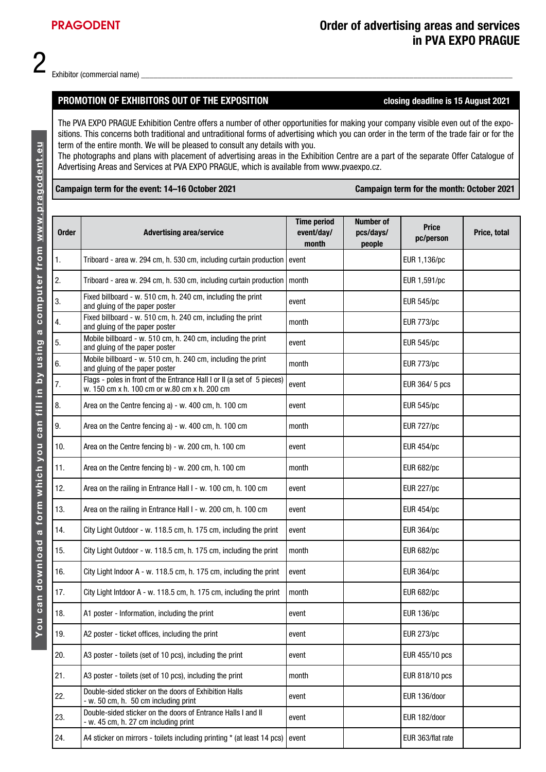## PROMOTION OF EXHIBITORS OUT OF THE EXPOSITION Closing deadline is 15 August 2021

The PVA EXPO PRAGUE Exhibition Centre offers a number of other opportunities for making your company visible even out of the expositions. This concerns both traditional and untraditional forms of advertising which you can order in the term of the trade fair or for the term of the entire month. We will be pleased to consult any details with you.

The photographs and plans with placement of advertising areas in the Exhibition Centre are a part of the separate Offer Catalogue of Advertising Areas and Services at PVA EXPO PRAGUE, which is available from www.pvaexpo.cz.

### Campaign term for the event: 14–16 October 2021 Campaign term for the month: October 2021

| <b>Order</b>   | <b>Advertising area/service</b>                                                                                         | <b>Time period</b><br>event/day/<br>month | <b>Number of</b><br>pcs/days/<br>people | <b>Price</b><br>pc/person | Price, total |
|----------------|-------------------------------------------------------------------------------------------------------------------------|-------------------------------------------|-----------------------------------------|---------------------------|--------------|
| $\mathbf{1}$ . | Triboard - area w. 294 cm, h. 530 cm, including curtain production   event                                              |                                           |                                         | EUR 1,136/pc              |              |
| 2.             | Triboard - area w. 294 cm, h. 530 cm, including curtain production   month                                              |                                           |                                         | EUR 1,591/pc              |              |
| 3.             | Fixed billboard - w. 510 cm, h. 240 cm, including the print<br>and gluing of the paper poster                           | event                                     |                                         | <b>EUR 545/pc</b>         |              |
| 4.             | Fixed billboard - w. 510 cm, h. 240 cm, including the print<br>and gluing of the paper poster                           | month                                     |                                         | <b>EUR 773/pc</b>         |              |
| 5.             | Mobile billboard - w. 510 cm, h. 240 cm, including the print<br>and gluing of the paper poster                          | event                                     |                                         | <b>EUR 545/pc</b>         |              |
| 6.             | Mobile billboard - w. 510 cm, h. 240 cm, including the print<br>and gluing of the paper poster                          | month                                     |                                         | <b>EUR 773/pc</b>         |              |
| 7.             | Flags - poles in front of the Entrance Hall I or II (a set of 5 pieces)<br>w. 150 cm x h. 100 cm or w.80 cm x h. 200 cm | event                                     |                                         | EUR 364/ 5 pcs            |              |
| 8.             | Area on the Centre fencing a) - w. 400 cm, h. 100 cm                                                                    | event                                     |                                         | <b>EUR 545/pc</b>         |              |
| 9.             | Area on the Centre fencing a) - w. 400 cm, h. 100 cm                                                                    | month                                     |                                         | <b>EUR 727/pc</b>         |              |
| 10.            | Area on the Centre fencing b) - w. 200 cm, h. 100 cm                                                                    | event                                     |                                         | <b>EUR 454/pc</b>         |              |
| 11.            | Area on the Centre fencing b) - w. 200 cm, h. 100 cm                                                                    | month                                     |                                         | <b>EUR 682/pc</b>         |              |
| 12.            | Area on the railing in Entrance Hall I - w. 100 cm, h. 100 cm                                                           | event                                     |                                         | <b>EUR 227/pc</b>         |              |
| 13.            | Area on the railing in Entrance Hall I - w. 200 cm, h. 100 cm                                                           | event                                     |                                         | <b>EUR 454/pc</b>         |              |
| 14.            | City Light Outdoor - w. 118.5 cm, h. 175 cm, including the print                                                        | event                                     |                                         | <b>EUR 364/pc</b>         |              |
| 15.            | City Light Outdoor - w. 118.5 cm, h. 175 cm, including the print                                                        | month                                     |                                         | <b>EUR 682/pc</b>         |              |
| 16.            | City Light Indoor A - w. 118.5 cm, h. 175 cm, including the print                                                       | event                                     |                                         | <b>EUR 364/pc</b>         |              |
| 17.            | City Light Intdoor A - w. 118.5 cm, h. 175 cm, including the print                                                      | month                                     |                                         | <b>EUR 682/pc</b>         |              |
| 18.            | A1 poster - Information, including the print                                                                            | event                                     |                                         | <b>EUR 136/pc</b>         |              |
| 19.            | A2 poster - ticket offices, including the print                                                                         | event                                     |                                         | <b>EUR 273/pc</b>         |              |
| 20.            | A3 poster - toilets (set of 10 pcs), including the print                                                                | event                                     |                                         | EUR 455/10 pcs            |              |
| 21.            | A3 poster - toilets (set of 10 pcs), including the print                                                                | month                                     |                                         | EUR 818/10 pcs            |              |
| 22.            | Double-sided sticker on the doors of Exhibition Halls<br>- w. 50 cm, h. 50 cm including print                           | event                                     |                                         | EUR 136/door              |              |
| 23.            | Double-sided sticker on the doors of Entrance Halls I and II<br>- w. 45 cm, h. 27 cm including print                    | event                                     |                                         | EUR 182/door              |              |
| 24.            | A4 sticker on mirrors - toilets including printing * (at least 14 pcs)                                                  | l event                                   |                                         | EUR 363/flat rate         |              |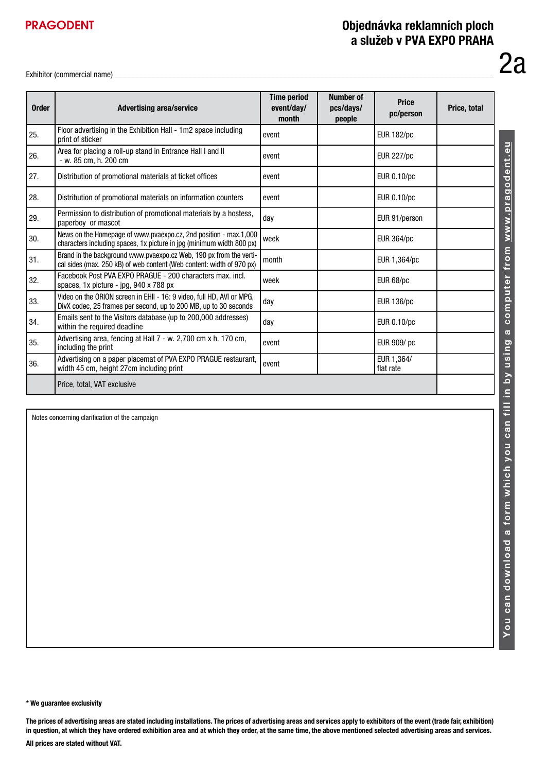# PRAGODENT

# Objednávka reklamních ploch a služeb v PVA EXPO PRAHA

Exhibitor (commercial name)

| <b>Order</b> | <b>Advertising area/service</b>                                                                                                             | <b>Time period</b><br>event/day/<br>month | <b>Number of</b><br>pcs/days/<br>people | <b>Price</b><br>pc/person | Price, total |
|--------------|---------------------------------------------------------------------------------------------------------------------------------------------|-------------------------------------------|-----------------------------------------|---------------------------|--------------|
| 25.          | Floor advertising in the Exhibition Hall - 1m2 space including<br>print of sticker                                                          | event                                     |                                         | <b>EUR 182/pc</b>         |              |
| 26.          | Area for placing a roll-up stand in Entrance Hall I and II<br>- w. 85 cm, h. 200 cm                                                         | event                                     |                                         | <b>EUR 227/pc</b>         |              |
| 27.          | Distribution of promotional materials at ticket offices                                                                                     | event                                     |                                         | EUR 0.10/pc               |              |
| 28.          | Distribution of promotional materials on information counters                                                                               | event                                     |                                         | EUR 0.10/pc               |              |
| 29.          | Permission to distribution of promotional materials by a hostess,<br>paperboy or mascot                                                     | day                                       |                                         | EUR 91/person             |              |
| 30.          | News on the Homepage of www.pvaexpo.cz, 2nd position - max.1,000<br>characters including spaces, 1x picture in jpg (minimum width 800 px)   | week                                      |                                         | <b>EUR 364/pc</b>         |              |
| 31.          | Brand in the background www.pvaexpo.cz Web, 190 px from the verti-<br>cal sides (max. 250 kB) of web content (Web content: width of 970 px) | month                                     |                                         | EUR 1,364/pc              |              |
| 32.          | Facebook Post PVA EXPO PRAGUE - 200 characters max. incl.<br>spaces, 1x picture - jpg, 940 x 788 px                                         | week                                      |                                         | EUR 68/pc                 |              |
| 33.          | Video on the ORION screen in EHII - 16: 9 video, full HD, AVI or MPG,<br>DivX codec, 25 frames per second, up to 200 MB, up to 30 seconds   | day                                       |                                         | <b>EUR 136/pc</b>         |              |
| 34.          | Emails sent to the Visitors database (up to 200,000 addresses)<br>within the required deadline                                              | day                                       |                                         | EUR 0.10/pc               |              |
| 35.          | Advertising area, fencing at Hall 7 - w. 2,700 cm x h. 170 cm,<br>including the print                                                       | event                                     |                                         | EUR 909/pc                |              |
| 36.          | Advertising on a paper placemat of PVA EXPO PRAGUE restaurant,<br>width 45 cm, height 27cm including print                                  | event                                     |                                         | EUR 1,364/<br>flat rate   |              |
|              | Price, total, VAT exclusive                                                                                                                 |                                           |                                         |                           |              |

Notes concerning clarification of the campaign

You can download a form which you can fill in by using a computer from www.pragodent.eu You can download a form which you can fill in by using a computer from www.pragodent.eu

2a

\* We guarantee exclusivity

The prices of advertising areas are stated including installations. The prices of advertising areas and services apply to exhibitors of the event (trade fair, exhibition) in question, at which they have ordered exhibition area and at which they order, at the same time, the above mentioned selected advertising areas and services. All prices are stated without VAT.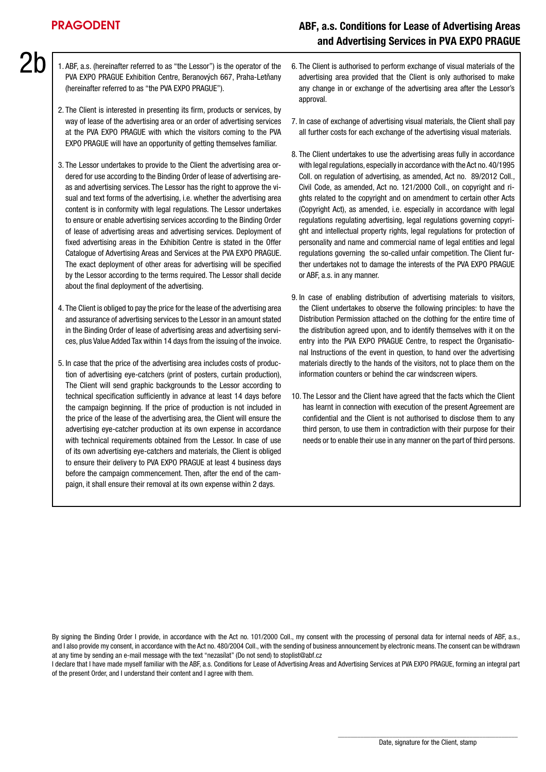$2h$ 

# ABF, a.s. Conditions for Lease of Advertising Areas and Advertising Services in PVA EXPO PRAGUE

- 1. ABF, a.s. (hereinafter referred to as "the Lessor") is the operator of the PVA EXPO PRAGUE Exhibition Centre, Beranových 667, Praha-Letňany (hereinafter referred to as "the PVA EXPO PRAGUE").
	- 2. The Client is interested in presenting its firm, products or services, by way of lease of the advertising area or an order of advertising services at the PVA EXPO PRAGUE with which the visitors coming to the PVA EXPO PRAGUE will have an opportunity of getting themselves familiar.
	- 3. The Lessor undertakes to provide to the Client the advertising area ordered for use according to the Binding Order of lease of advertising areas and advertising services. The Lessor has the right to approve the visual and text forms of the advertising, i.e. whether the advertising area content is in conformity with legal regulations. The Lessor undertakes to ensure or enable advertising services according to the Binding Order of lease of advertising areas and advertising services. Deployment of fixed advertising areas in the Exhibition Centre is stated in the Offer Catalogue of Advertising Areas and Services at the PVA EXPO PRAGUE. The exact deployment of other areas for advertising will be specified by the Lessor according to the terms required. The Lessor shall decide about the final deployment of the advertising.
	- 4. The Client is obliged to pay the price for the lease of the advertising area and assurance of advertising services to the Lessor in an amount stated in the Binding Order of lease of advertising areas and advertising services, plus Value Added Tax within 14 days from the issuing of the invoice.
	- 5. In case that the price of the advertising area includes costs of production of advertising eye-catchers (print of posters, curtain production), The Client will send graphic backgrounds to the Lessor according to technical specification sufficiently in advance at least 14 days before the campaign beginning. If the price of production is not included in the price of the lease of the advertising area, the Client will ensure the advertising eye-catcher production at its own expense in accordance with technical requirements obtained from the Lessor. In case of use of its own advertising eye-catchers and materials, the Client is obliged to ensure their delivery to PVA EXPO PRAGUE at least 4 business days before the campaign commencement. Then, after the end of the campaign, it shall ensure their removal at its own expense within 2 days.
- 6. The Client is authorised to perform exchange of visual materials of the advertising area provided that the Client is only authorised to make any change in or exchange of the advertising area after the Lessor's approval.
- 7. In case of exchange of advertising visual materials, the Client shall pay all further costs for each exchange of the advertising visual materials.
- 8. The Client undertakes to use the advertising areas fully in accordance with legal regulations, especially in accordance with the Act no. 40/1995 Coll. on regulation of advertising, as amended, Act no. 89/2012 Coll., Civil Code, as amended, Act no. 121/2000 Coll., on copyright and rights related to the copyright and on amendment to certain other Acts (Copyright Act), as amended, i.e. especially in accordance with legal regulations regulating advertising, legal regulations governing copyright and intellectual property rights, legal regulations for protection of personality and name and commercial name of legal entities and legal regulations governing the so-called unfair competition. The Client further undertakes not to damage the interests of the PVA EXPO PRAGUE or ABF, a.s. in any manner.
- 9. In case of enabling distribution of advertising materials to visitors, the Client undertakes to observe the following principles: to have the Distribution Permission attached on the clothing for the entire time of the distribution agreed upon, and to identify themselves with it on the entry into the PVA EXPO PRAGUE Centre, to respect the Organisational Instructions of the event in question, to hand over the advertising materials directly to the hands of the visitors, not to place them on the information counters or behind the car windscreen wipers.
- 10. The Lessor and the Client have agreed that the facts which the Client has learnt in connection with execution of the present Agreement are confidential and the Client is not authorised to disclose them to any third person, to use them in contradiction with their purpose for their needs or to enable their use in any manner on the part of third persons.

By signing the Binding Order I provide, in accordance with the Act no. 101/2000 Coll., my consent with the processing of personal data for internal needs of ABF, a.s., and I also provide my consent, in accordance with the Act no. 480/2004 Coll., with the sending of business announcement by electronic means. The consent can be withdrawn at any time by sending an e-mail message with the text "nezasílat" (Do not send) to stoplist@abf.cz

I declare that I have made myself familiar with the ABF, a.s. Conditions for Lease of Advertising Areas and Advertising Services at PVA EXPO PRAGUE, forming an integral part of the present Order, and I understand their content and I agree with them.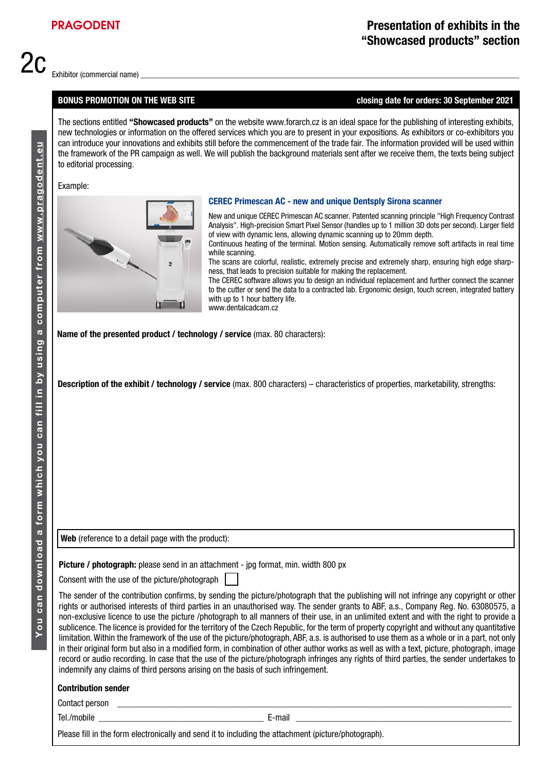2c

#### BONUS PROMOTION ON THE WEB SITE closing date for orders: 30 September 2021

The sections entitled "Showcased products" on the website www.forarch.cz is an ideal space for the publishing of interesting exhibits, new technologies or information on the offered services which you are to present in your expositions. As exhibitors or co-exhibitors you can introduce your innovations and exhibits still before the commencement of the trade fair. The information provided will be used within the framework of the PR campaign as well. We will publish the background materials sent after we receive them, the texts being subject to editorial processing.

#### Example:



#### CEREC Primescan AC - new and unique Dentsply Sirona scanner

New and unique CEREC Primescan AC scanner. Patented scanning principle "High Frequency Contrast Analysis". High-precision Smart Pixel Sensor (handles up to 1 million 3D dots per second). Larger field of view with dynamic lens, allowing dynamic scanning up to 20mm depth. Continuous heating of the terminal. Motion sensing. Automatically remove soft artifacts in real time while scanning.

The scans are colorful, realistic, extremely precise and extremely sharp, ensuring high edge sharpness, that leads to precision suitable for making the replacement.

The CEREC software allows you to design an individual replacement and further connect the scanner to the cutter or send the data to a contracted lab. Ergonomic design, touch screen, integrated battery with up to 1 hour battery life. www.dentalcadcam.cz

Name of the presented product / technology / service (max. 80 characters):

Description of the exhibit / technology / service (max. 800 characters) – characteristics of properties, marketability, strengths:

Web (reference to a detail page with the product):

Picture / photograph: please send in an attachment - jpg format, min. width 800 px

Consent with the use of the picture/photograph

The sender of the contribution confirms, by sending the picture/photograph that the publishing will not infringe any copyright or other rights or authorised interests of third parties in an unauthorised way. The sender grants to ABF, a.s., Company Reg. No. 63080575, a non-exclusive licence to use the picture /photograph to all manners of their use, in an unlimited extent and with the right to provide a sublicence. The licence is provided for the territory of the Czech Republic, for the term of property copyright and without any quantitative limitation. Within the framework of the use of the picture/photograph, ABF, a.s. is authorised to use them as a whole or in a part, not only in their original form but also in a modified form, in combination of other author works as well as with a text, picture, photograph, image record or audio recording. In case that the use of the picture/photograph infringes any rights of third parties, the sender undertakes to indemnify any claims of third persons arising on the basis of such infringement.

#### Contribution sender

Contact person

Tel./mobile **E**-mail

Please fill in the form electronically and send it to including the attachment (picture/photograph).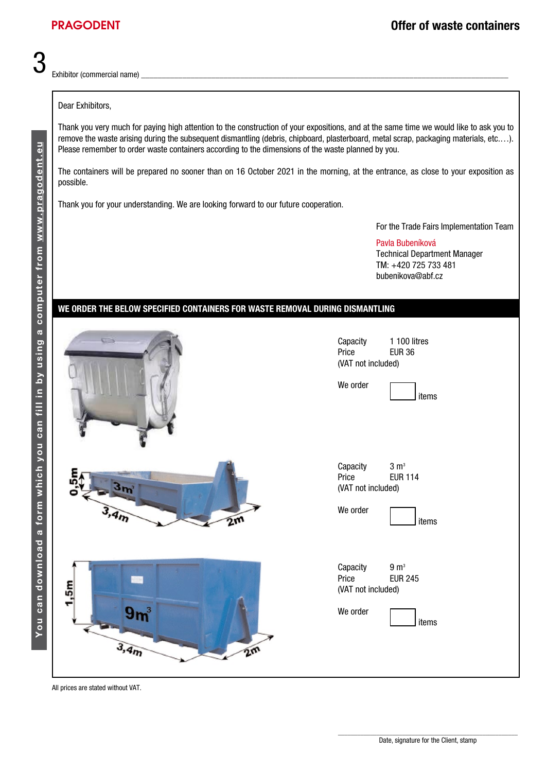3

Exhibitor (commercial name)

### Dear Exhibitors,

Thank you very much for paying high attention to the construction of your expositions, and at the same time we would like to ask you to remove the waste arising during the subsequent dismantling (debris, chipboard, plasterboard, metal scrap, packaging materials, etc.…). Please remember to order waste containers according to the dimensions of the waste planned by you.

The containers will be prepared no sooner than on 16 October 2021 in the morning, at the entrance, as close to your exposition as possible.

Thank you for your understanding. We are looking forward to our future cooperation.

For the Trade Fairs Implementation Team

Pavla Bubeníková Technical Department Manager TM: +420 725 733 481 bubenikova@abf.cz

## WE ORDER THE BELOW SPECIFIED CONTAINERS FOR WASTE REMOVAL DURING DISMANTLING

| $\Box$                       | Capacity<br>Price<br>(VAT not included)<br>We order | 1 100 litres<br><b>EUR 36</b><br>items      |
|------------------------------|-----------------------------------------------------|---------------------------------------------|
| 3,4m<br>2m                   | Capacity<br>Price<br>(VAT not included)<br>We order | 3 m <sup>3</sup><br><b>EUR 114</b><br>items |
| 1,5m<br>$9m^3$<br>3,4m<br>2m | Capacity<br>Price<br>(VAT not included)<br>We order | 9 m <sup>3</sup><br><b>EUR 245</b><br>items |

All prices are stated without VAT.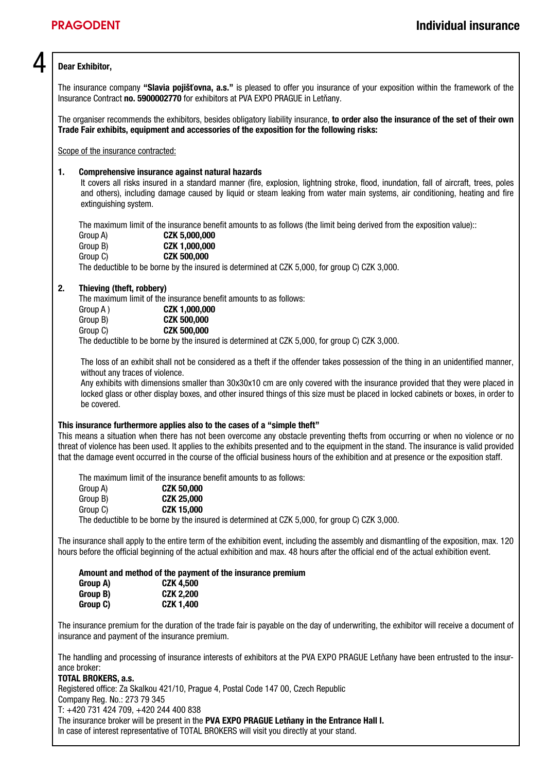# Dear Exhibitor.

The insurance company "Slavia pojišťovna, a.s." is pleased to offer you insurance of your exposition within the framework of the Insurance Contract no. 5900002770 for exhibitors at PVA EXPO PRAGUE in Letňany.

The organiser recommends the exhibitors, besides obligatory liability insurance, to order also the insurance of the set of their own Trade Fair exhibits, equipment and accessories of the exposition for the following risks:

Scope of the insurance contracted:

#### 1. Comprehensive insurance against natural hazards

It covers all risks insured in a standard manner (fire, explosion, lightning stroke, flood, inundation, fall of aircraft, trees, poles and others), including damage caused by liquid or steam leaking from water main systems, air conditioning, heating and fire extinguishing system.

The maximum limit of the insurance benefit amounts to as follows (the limit being derived from the exposition value)::

| Group A) | CZK 5,000,000                                                                                 |  |  |
|----------|-----------------------------------------------------------------------------------------------|--|--|
| Group B) | CZK 1.000.000                                                                                 |  |  |
| Group C) | <b>CZK 500,000</b>                                                                            |  |  |
|          | The deductible to be borne by the insured is determined at CZK 5,000, for group C) CZK 3,000. |  |  |

#### 2. Thieving (theft, robbery)

The maximum limit of the insurance benefit amounts to as follows:

| Group A) |   |  | CZK 1,000,000      |
|----------|---|--|--------------------|
| Group B) |   |  | <b>CZK 500,000</b> |
| Group C) |   |  | <b>CZK 500,000</b> |
| $-1$     | . |  |                    |

The deductible to be borne by the insured is determined at CZK 5,000, for group C) CZK 3,000.

The loss of an exhibit shall not be considered as a theft if the offender takes possession of the thing in an unidentified manner, without any traces of violence.

Any exhibits with dimensions smaller than 30x30x10 cm are only covered with the insurance provided that they were placed in locked glass or other display boxes, and other insured things of this size must be placed in locked cabinets or boxes, in order to be covered.

#### This insurance furthermore applies also to the cases of a "simple theft"

This means a situation when there has not been overcome any obstacle preventing thefts from occurring or when no violence or no threat of violence has been used. It applies to the exhibits presented and to the equipment in the stand. The insurance is valid provided that the damage event occurred in the course of the official business hours of the exhibition and at presence or the exposition staff.

The maximum limit of the insurance benefit amounts to as follows:

| Group A) | <b>CZK 50,000</b> |  |  |
|----------|-------------------|--|--|
| Group B) | <b>CZK 25,000</b> |  |  |
| Group C) | <b>CZK 15,000</b> |  |  |
|          |                   |  |  |

The deductible to be borne by the insured is determined at CZK 5,000, for group C) CZK 3,000.

The insurance shall apply to the entire term of the exhibition event, including the assembly and dismantling of the exposition, max. 120 hours before the official beginning of the actual exhibition and max. 48 hours after the official end of the actual exhibition event.

Amount and method of the payment of the insurance premium

| Group A) | <b>CZK 4,500</b> |
|----------|------------------|
| Group B) | <b>CZK 2,200</b> |
| Group C) | <b>CZK 1,400</b> |

The insurance premium for the duration of the trade fair is payable on the day of underwriting, the exhibitor will receive a document of insurance and payment of the insurance premium.

The handling and processing of insurance interests of exhibitors at the PVA EXPO PRAGUE Letňany have been entrusted to the insurance broker:

#### TOTAL BROKERS, a.s.

Registered office: Za Skalkou 421/10, Prague 4, Postal Code 147 00, Czech Republic

Company Reg. No.: 273 79 345

T: +420 731 424 709, +420 244 400 838

The insurance broker will be present in the PVA EXPO PRAGUE Letňany in the Entrance Hall I.

In case of interest representative of TOTAL BROKERS will visit you directly at your stand.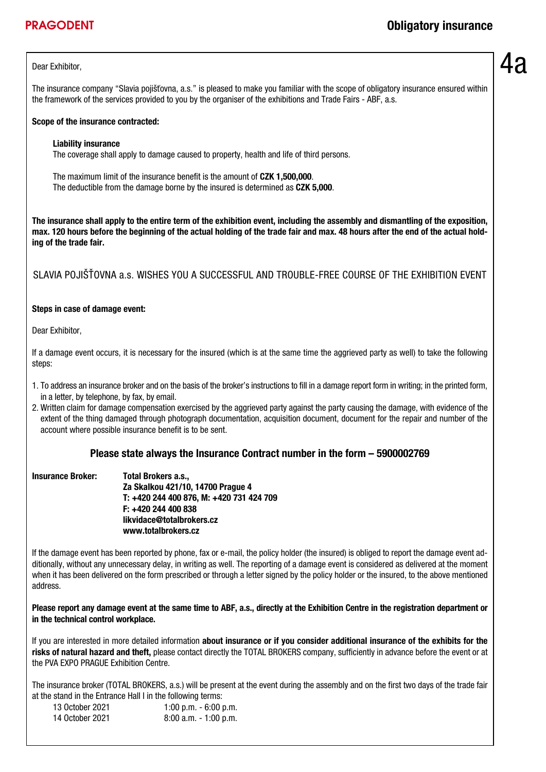The insurance company "Slavia pojišťovna, a.s." is pleased to make you familiar with the scope of obligatory insurance ensured within the framework of the services provided to you by the organiser of the exhibitions and Trade Fairs - ABF, a.s.

### Scope of the insurance contracted:

#### Liability insurance

The coverage shall apply to damage caused to property, health and life of third persons.

The maximum limit of the insurance benefit is the amount of CZK 1,500,000. The deductible from the damage borne by the insured is determined as CZK 5.000.

The insurance shall apply to the entire term of the exhibition event, including the assembly and dismantling of the exposition, max. 120 hours before the beginning of the actual holding of the trade fair and max. 48 hours after the end of the actual holding of the trade fair.

SLAVIA POJIŠŤOVNA a.s. WISHES YOU A SUCCESSFUL AND TROUBLE-FREE COURSE OF THE EXHIBITION EVENT

### Steps in case of damage event:

Dear Exhibitor,

If a damage event occurs, it is necessary for the insured (which is at the same time the aggrieved party as well) to take the following steps:

- 1. To address an insurance broker and on the basis of the broker's instructions to fill in a damage report form in writing; in the printed form, in a letter, by telephone, by fax, by email.
- 2. Written claim for damage compensation exercised by the aggrieved party against the party causing the damage, with evidence of the extent of the thing damaged through photograph documentation, acquisition document, document for the repair and number of the account where possible insurance benefit is to be sent.

## Please state always the Insurance Contract number in the form – 5900002769

| <b>Insurance Broker:</b> | Total Brokers a.s.,                      |
|--------------------------|------------------------------------------|
|                          | Za Skalkou 421/10, 14700 Prague 4        |
|                          | T: +420 244 400 876, M: +420 731 424 709 |
|                          | F: +420 244 400 838                      |
|                          | likvidace@totalbrokers.cz                |
|                          | www.totalbrokers.cz                      |

If the damage event has been reported by phone, fax or e-mail, the policy holder (the insured) is obliged to report the damage event additionally, without any unnecessary delay, in writing as well. The reporting of a damage event is considered as delivered at the moment when it has been delivered on the form prescribed or through a letter signed by the policy holder or the insured, to the above mentioned address.

#### Please report any damage event at the same time to ABF, a.s., directly at the Exhibition Centre in the registration department or in the technical control workplace.

If you are interested in more detailed information about insurance or if you consider additional insurance of the exhibits for the risks of natural hazard and theft, please contact directly the TOTAL BROKERS company, sufficiently in advance before the event or at the PVA EXPO PRAGUE Exhibition Centre.

The insurance broker (TOTAL BROKERS, a.s.) will be present at the event during the assembly and on the first two days of the trade fair at the stand in the Entrance Hall I in the following terms:

| 13 October 2021 | 1:00 p.m. $-6:00$ p.m.   |
|-----------------|--------------------------|
| 14 October 2021 | $8:00$ a.m. $-1:00$ p.m. |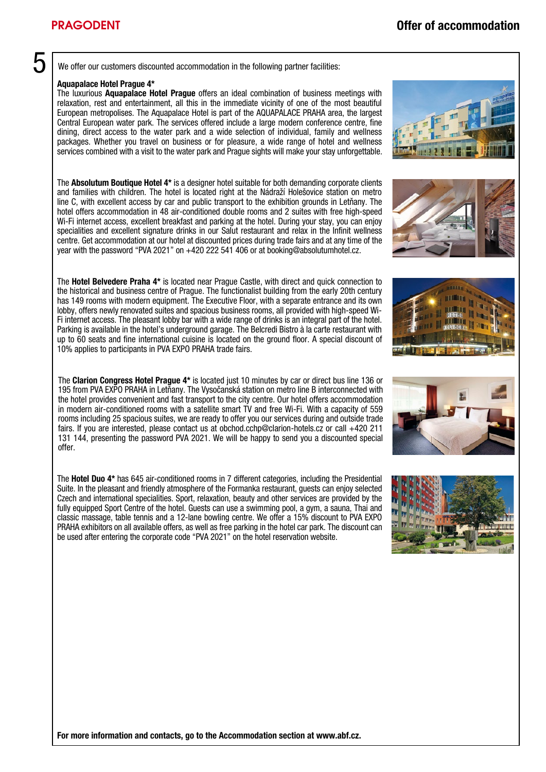We offer our customers discounted accommodation in the following partner facilities:

#### Aquapalace Hotel Prague 4\*

The luxurious Aquapalace Hotel Prague offers an ideal combination of business meetings with relaxation, rest and entertainment, all this in the immediate vicinity of one of the most beautiful European metropolises. The Aquapalace Hotel is part of the AQUAPALACE PRAHA area, the largest Central European water park. The services offered include a large modern conference centre, fine dining, direct access to the water park and a wide selection of individual, family and wellness packages. Whether you travel on business or for pleasure, a wide range of hotel and wellness services combined with a visit to the water park and Prague sights will make your stay unforgettable.

The **Absolutum Boutique Hotel 4\*** is a designer hotel suitable for both demanding corporate clients and families with children. The hotel is located right at the Nádraží Holešovice station on metro line C, with excellent access by car and public transport to the exhibition grounds in Letňany. The hotel offers accommodation in 48 air-conditioned double rooms and 2 suites with free high-speed Wi-Fi internet access, excellent breakfast and parking at the hotel. During your stay, you can enjoy specialities and excellent signature drinks in our Salut restaurant and relax in the Infinit wellness centre. Get accommodation at our hotel at discounted prices during trade fairs and at any time of the year with the password "PVA 2021" on +420 222 541 406 or at booking@absolutumhotel.cz.

The Hotel Belvedere Praha 4\* is located near Prague Castle, with direct and quick connection to the historical and business centre of Prague. The functionalist building from the early 20th century has 149 rooms with modern equipment. The Executive Floor, with a separate entrance and its own lobby, offers newly renovated suites and spacious business rooms, all provided with high-speed Wi-Fi internet access. The pleasant lobby bar with a wide range of drinks is an integral part of the hotel. Parking is available in the hotel's underground garage. The Belcredi Bistro à la carte restaurant with up to 60 seats and fine international cuisine is located on the ground floor. A special discount of 10% applies to participants in PVA EXPO PRAHA trade fairs.

The Clarion Congress Hotel Prague 4\* is located just 10 minutes by car or direct bus line 136 or 195 from PVA EXPO PRAHA in Letňany. The Vysočanská station on metro line B interconnected with the hotel provides convenient and fast transport to the city centre. Our hotel offers accommodation in modern air-conditioned rooms with a satellite smart TV and free Wi-Fi. With a capacity of 559 rooms including 25 spacious suites, we are ready to offer you our services during and outside trade fairs. If you are interested, please contact us at obchod.cchp@clarion-hotels.cz or call +420 211 131 144, presenting the password PVA 2021. We will be happy to send you a discounted special offer.

The Hotel Duo 4\* has 645 air-conditioned rooms in 7 different categories, including the Presidential Suite. In the pleasant and friendly atmosphere of the Formanka restaurant, guests can enjoy selected Czech and international specialities. Sport, relaxation, beauty and other services are provided by the fully equipped Sport Centre of the hotel. Guests can use a swimming pool, a gym, a sauna. Thai and classic massage, table tennis and a 12-lane bowling centre. We offer a 15% discount to PVA EXPO PRAHA exhibitors on all available offers, as well as free parking in the hotel car park. The discount can be used after entering the corporate code "PVA 2021" on the hotel reservation website.

For more information and contacts, go to the Accommodation section at www.abf.cz.







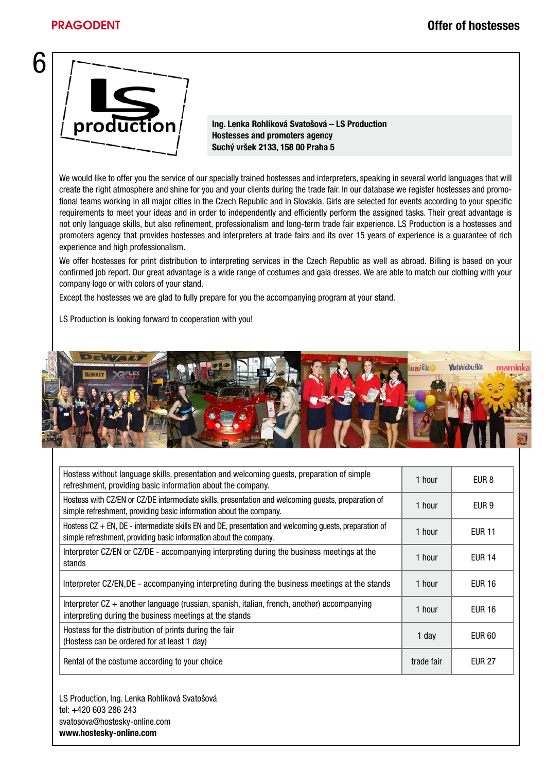6



Ing. Lenka Rohlíková Svatošová – LS Production Hostesses and promoters agency Suchý vršek 2133, 158 00 Praha 5

We would like to offer you the service of our specially trained hostesses and interpreters, speaking in several world languages that will create the right atmosphere and shine for you and your clients during the trade fair. In our database we register hostesses and promotional teams working in all major cities in the Czech Republic and in Slovakia. Girls are selected for events according to your specific requirements to meet your ideas and in order to independently and efficiently perform the assigned tasks. Their great advantage is not only language skills, but also refinement, professionalism and long-term trade fair experience. LS Production is a hostesses and promoters agency that provides hostesses and interpreters at trade fairs and its over 15 years of experience is a guarantee of rich experience and high professionalism.

We offer hostesses for print distribution to interpreting services in the Czech Republic as well as abroad. Billing is based on your confirmed job report. Our great advantage is a wide range of costumes and gala dresses. We are able to match our clothing with your company logo or with colors of your stand.

Except the hostesses we are glad to fully prepare for you the accompanying program at your stand.

LS Production is looking forward to cooperation with you!



| Hostess without language skills, presentation and welcoming guests, preparation of simple<br>1 hour<br>EUR 8<br>refreshment, providing basic information about the company.<br>Hostess with CZ/EN or CZ/DE intermediate skills, presentation and welcoming guests, preparation of<br>1 hour<br>EUR 9<br>simple refreshment, providing basic information about the company.<br>Hostess $CZ + EN$ , $DE$ - intermediate skills EN and DE, presentation and welcoming guests, preparation of<br>1 hour<br><b>EUR 11</b><br>simple refreshment, providing basic information about the company.<br>Interpreter CZ/EN or CZ/DE - accompanying interpreting during the business meetings at the<br><b>EUR 14</b><br>1 hour<br>stands<br>Interpreter CZ/EN, DE - accompanying interpreting during the business meetings at the stands<br>EUR 16<br>1 hour<br>Interpreter CZ + another language (russian, spanish, italian, french, another) accompanying<br><b>EUR 16</b><br>1 hour<br>interpreting during the business meetings at the stands<br>Hostess for the distribution of prints during the fair<br>EUR 60<br>1 day<br>(Hostess can be ordered for at least 1 day)<br>Rental of the costume according to your choice<br>trade fair<br><b>EUR 27</b> |  |  |
|-----------------------------------------------------------------------------------------------------------------------------------------------------------------------------------------------------------------------------------------------------------------------------------------------------------------------------------------------------------------------------------------------------------------------------------------------------------------------------------------------------------------------------------------------------------------------------------------------------------------------------------------------------------------------------------------------------------------------------------------------------------------------------------------------------------------------------------------------------------------------------------------------------------------------------------------------------------------------------------------------------------------------------------------------------------------------------------------------------------------------------------------------------------------------------------------------------------------------------------------------------|--|--|
|                                                                                                                                                                                                                                                                                                                                                                                                                                                                                                                                                                                                                                                                                                                                                                                                                                                                                                                                                                                                                                                                                                                                                                                                                                                     |  |  |
|                                                                                                                                                                                                                                                                                                                                                                                                                                                                                                                                                                                                                                                                                                                                                                                                                                                                                                                                                                                                                                                                                                                                                                                                                                                     |  |  |
|                                                                                                                                                                                                                                                                                                                                                                                                                                                                                                                                                                                                                                                                                                                                                                                                                                                                                                                                                                                                                                                                                                                                                                                                                                                     |  |  |
|                                                                                                                                                                                                                                                                                                                                                                                                                                                                                                                                                                                                                                                                                                                                                                                                                                                                                                                                                                                                                                                                                                                                                                                                                                                     |  |  |
|                                                                                                                                                                                                                                                                                                                                                                                                                                                                                                                                                                                                                                                                                                                                                                                                                                                                                                                                                                                                                                                                                                                                                                                                                                                     |  |  |
|                                                                                                                                                                                                                                                                                                                                                                                                                                                                                                                                                                                                                                                                                                                                                                                                                                                                                                                                                                                                                                                                                                                                                                                                                                                     |  |  |
|                                                                                                                                                                                                                                                                                                                                                                                                                                                                                                                                                                                                                                                                                                                                                                                                                                                                                                                                                                                                                                                                                                                                                                                                                                                     |  |  |
|                                                                                                                                                                                                                                                                                                                                                                                                                                                                                                                                                                                                                                                                                                                                                                                                                                                                                                                                                                                                                                                                                                                                                                                                                                                     |  |  |

LS Production, Ing. Lenka Rohlíková Svatošová tel: +420 603 286 243 svatosova@hostesky-online.com www.hostesky-online.com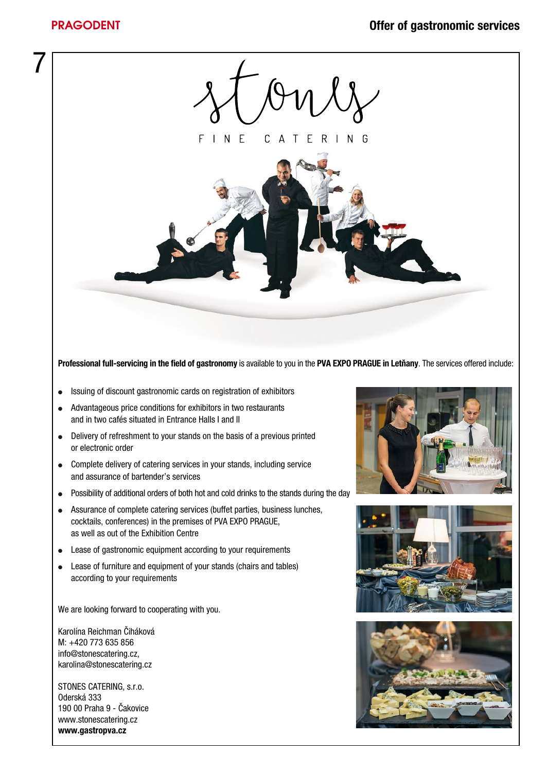

Professional full-servicing in the field of gastronomy is available to you in the PVA EXPO PRAGUE in Letňany. The services offered include:

- **.** Issuing of discount gastronomic cards on registration of exhibitors
- Advantageous price conditions for exhibitors in two restaurants and in two cafés situated in Entrance Halls I and II
- Delivery of refreshment to your stands on the basis of a previous printed or electronic order
- Complete delivery of catering services in your stands, including service and assurance of bartender's services
- Possibility of additional orders of both hot and cold drinks to the stands during the day
- Assurance of complete catering services (buffet parties, business lunches, cocktails, conferences) in the premises of PVA EXPO PRAGUE, as well as out of the Exhibition Centre
- Lease of gastronomic equipment according to your requirements
- Lease of furniture and equipment of your stands (chairs and tables) according to your requirements

We are looking forward to cooperating with you.

Karolína Reichman Čiháková M: +420 773 635 856 info@stonescatering.cz, karolina@stonescatering.cz

STONES CATERING, s.r.o. Oderská 333 190 00 Praha 9 - Čakovice www.stonescatering.cz www.gastropva.cz